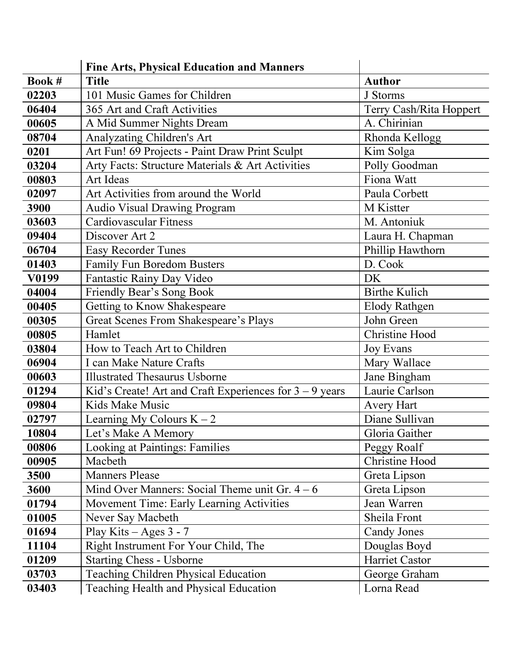|        | <b>Fine Arts, Physical Education and Manners</b>          |                         |
|--------|-----------------------------------------------------------|-------------------------|
| Book # | <b>Title</b>                                              | <b>Author</b>           |
| 02203  | 101 Music Games for Children                              | J Storms                |
| 06404  | 365 Art and Craft Activities                              | Terry Cash/Rita Hoppert |
| 00605  | A Mid Summer Nights Dream                                 | A. Chirinian            |
| 08704  | Analyzating Children's Art                                | Rhonda Kellogg          |
| 0201   | Art Fun! 69 Projects - Paint Draw Print Sculpt            | Kim Solga               |
| 03204  | Arty Facts: Structure Materials & Art Activities          | Polly Goodman           |
| 00803  | Art Ideas                                                 | Fiona Watt              |
| 02097  | Art Activities from around the World                      | Paula Corbett           |
| 3900   | Audio Visual Drawing Program                              | M Kistter               |
| 03603  | <b>Cardiovascular Fitness</b>                             | M. Antoniuk             |
| 09404  | Discover Art 2                                            | Laura H. Chapman        |
| 06704  | <b>Easy Recorder Tunes</b>                                | Phillip Hawthorn        |
| 01403  | <b>Family Fun Boredom Busters</b>                         | D. Cook                 |
| V0199  | Fantastic Rainy Day Video                                 | DK                      |
| 04004  | Friendly Bear's Song Book                                 | <b>Birthe Kulich</b>    |
| 00405  | Getting to Know Shakespeare                               | <b>Elody Rathgen</b>    |
| 00305  | Great Scenes From Shakespeare's Plays                     | John Green              |
| 00805  | Hamlet                                                    | <b>Christine Hood</b>   |
| 03804  | How to Teach Art to Children                              | <b>Joy Evans</b>        |
| 06904  | I can Make Nature Crafts                                  | Mary Wallace            |
| 00603  | <b>Illustrated Thesaurus Usborne</b>                      | Jane Bingham            |
| 01294  | Kid's Create! Art and Craft Experiences for $3 - 9$ years | Laurie Carlson          |
| 09804  | Kids Make Music                                           | <b>Avery Hart</b>       |
| 02797  | Learning My Colours $K - 2$                               | Diane Sullivan          |
| 10804  | Let's Make A Memory                                       | Gloria Gaither          |
| 00806  | Looking at Paintings: Families                            | Peggy Roalf             |
| 00905  | Macbeth                                                   | Christine Hood          |
| 3500   | <b>Manners Please</b>                                     | Greta Lipson            |
| 3600   | Mind Over Manners: Social Theme unit Gr. $4-6$            | Greta Lipson            |
| 01794  | Movement Time: Early Learning Activities                  | Jean Warren             |
| 01005  | Never Say Macbeth                                         | Sheila Front            |
| 01694  | Play Kits $-$ Ages 3 - 7                                  | <b>Candy Jones</b>      |
| 11104  | Right Instrument For Your Child, The                      | Douglas Boyd            |
| 01209  | <b>Starting Chess - Usborne</b>                           | Harriet Castor          |
| 03703  | Teaching Children Physical Education                      | George Graham           |
| 03403  | Teaching Health and Physical Education                    | Lorna Read              |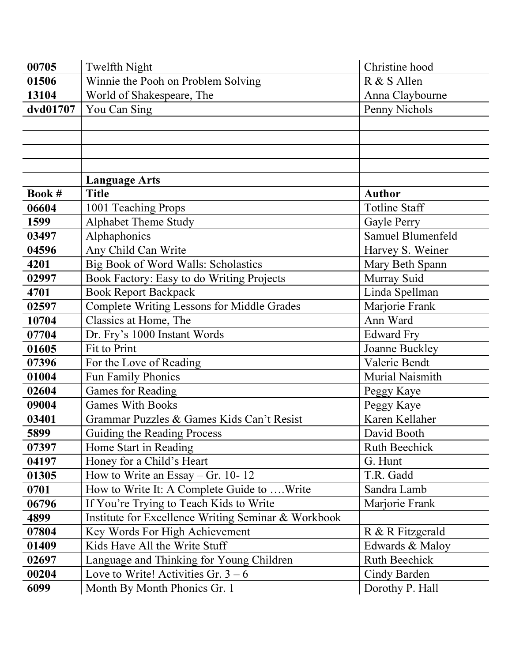| 00705    | Twelfth Night                                       | Christine hood       |
|----------|-----------------------------------------------------|----------------------|
| 01506    | Winnie the Pooh on Problem Solving                  | R & S Allen          |
| 13104    | World of Shakespeare, The                           | Anna Claybourne      |
| dvd01707 | You Can Sing                                        | Penny Nichols        |
|          |                                                     |                      |
|          |                                                     |                      |
|          |                                                     |                      |
|          |                                                     |                      |
|          | <b>Language Arts</b>                                |                      |
| Book #   | <b>Title</b>                                        | <b>Author</b>        |
| 06604    | 1001 Teaching Props                                 | <b>Totline Staff</b> |
| 1599     | Alphabet Theme Study                                | Gayle Perry          |
| 03497    | Alphaphonics                                        | Samuel Blumenfeld    |
| 04596    | Any Child Can Write                                 | Harvey S. Weiner     |
| 4201     | Big Book of Word Walls: Scholastics                 | Mary Beth Spann      |
| 02997    | Book Factory: Easy to do Writing Projects           | Murray Suid          |
| 4701     | <b>Book Report Backpack</b>                         | Linda Spellman       |
| 02597    | <b>Complete Writing Lessons for Middle Grades</b>   | Marjorie Frank       |
| 10704    | Classics at Home, The                               | Ann Ward             |
| 07704    | Dr. Fry's 1000 Instant Words                        | <b>Edward Fry</b>    |
| 01605    | Fit to Print                                        | Joanne Buckley       |
| 07396    | For the Love of Reading                             | Valerie Bendt        |
| 01004    | Fun Family Phonics                                  | Murial Naismith      |
| 02604    | <b>Games for Reading</b>                            | Peggy Kaye           |
| 09004    | <b>Games With Books</b>                             | Peggy Kaye           |
| 03401    | Grammar Puzzles & Games Kids Can't Resist           | Karen Kellaher       |
| 5899     | Guiding the Reading Process                         | David Booth          |
| 07397    | Home Start in Reading                               | <b>Ruth Beechick</b> |
| 04197    | Honey for a Child's Heart                           | G. Hunt              |
| 01305    | How to Write an Essay – Gr. 10-12                   | T.R. Gadd            |
| 0701     | How to Write It: A Complete Guide to Write          | Sandra Lamb          |
| 06796    | If You're Trying to Teach Kids to Write             | Marjorie Frank       |
| 4899     | Institute for Excellence Writing Seminar & Workbook |                      |
| 07804    | Key Words For High Achievement                      | R & R Fitzgerald     |
| 01409    | Kids Have All the Write Stuff                       | Edwards & Maloy      |
| 02697    | Language and Thinking for Young Children            | <b>Ruth Beechick</b> |
| 00204    | Love to Write! Activities Gr. $3 - 6$               | Cindy Barden         |
| 6099     | Month By Month Phonics Gr. 1                        | Dorothy P. Hall      |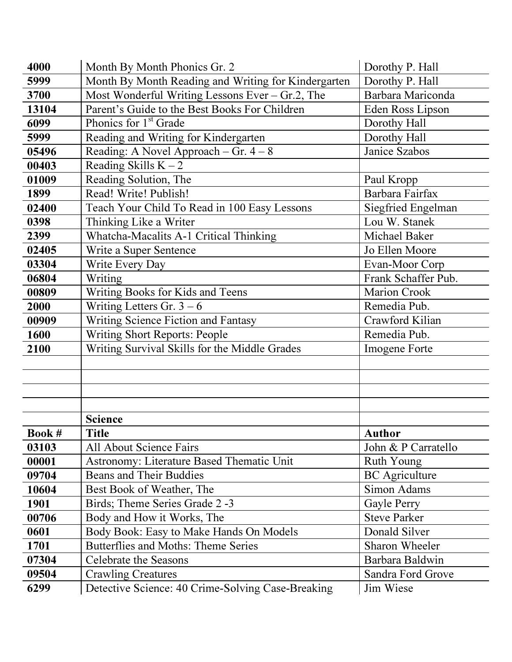| 4000         | Month By Month Phonics Gr. 2                        | Dorothy P. Hall       |
|--------------|-----------------------------------------------------|-----------------------|
| 5999         | Month By Month Reading and Writing for Kindergarten | Dorothy P. Hall       |
| 3700         | Most Wonderful Writing Lessons Ever $-$ Gr.2, The   | Barbara Mariconda     |
| 13104        | Parent's Guide to the Best Books For Children       | Eden Ross Lipson      |
| 6099         | Phonics for 1 <sup>st</sup> Grade                   | Dorothy Hall          |
| 5999         | Reading and Writing for Kindergarten                | Dorothy Hall          |
| 05496        | Reading: A Novel Approach – Gr. $4 - 8$             | Janice Szabos         |
| 00403        | Reading Skills $K - 2$                              |                       |
| 01009        | Reading Solution, The                               | Paul Kropp            |
| 1899         | Read! Write! Publish!                               | Barbara Fairfax       |
| 02400        | Teach Your Child To Read in 100 Easy Lessons        | Siegfried Engelman    |
| 0398         | Thinking Like a Writer                              | Lou W. Stanek         |
| 2399         | Whatcha-Macalits A-1 Critical Thinking              | Michael Baker         |
| 02405        | Write a Super Sentence                              | Jo Ellen Moore        |
| 03304        | Write Every Day                                     | Evan-Moor Corp        |
| 06804        | Writing                                             | Frank Schaffer Pub.   |
| 00809        | Writing Books for Kids and Teens                    | Marion Crook          |
| 2000         | Writing Letters Gr. $3 - 6$                         | Remedia Pub.          |
| 00909        | Writing Science Fiction and Fantasy                 | Crawford Kilian       |
| 1600         | <b>Writing Short Reports: People</b>                | Remedia Pub.          |
| 2100         | Writing Survival Skills for the Middle Grades       | Imogene Forte         |
|              |                                                     |                       |
|              | <b>Science</b>                                      |                       |
| <b>Book#</b> | <b>Title</b>                                        | <b>Author</b>         |
| 03103        | All About Science Fairs                             | John & P Carratello   |
| 00001        | Astronomy: Literature Based Thematic Unit           | Ruth Young            |
| 09704        | <b>Beans and Their Buddies</b>                      | <b>BC</b> Agriculture |
| 10604        | Best Book of Weather, The                           | Simon Adams           |
| <b>1901</b>  | Birds; Theme Series Grade 2 -3                      | Gayle Perry           |
| 00706        | Body and How it Works, The                          | <b>Steve Parker</b>   |
| 0601         | Body Book: Easy to Make Hands On Models             | Donald Silver         |
| 1701         | Butterflies and Moths: Theme Series                 | Sharon Wheeler        |
| 07304        | Celebrate the Seasons                               | Barbara Baldwin       |
| 09504        | <b>Crawling Creatures</b>                           | Sandra Ford Grove     |
| 6299         | Detective Science: 40 Crime-Solving Case-Breaking   | Jim Wiese             |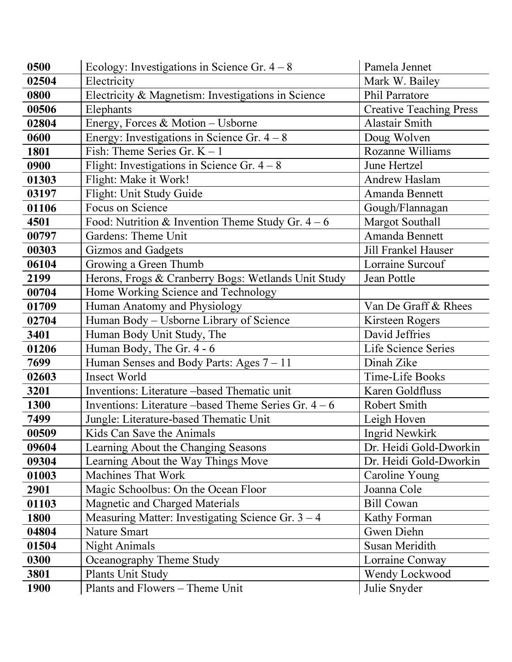| 0500  | Ecology: Investigations in Science Gr. $4 - 8$       | Pamela Jennet                  |
|-------|------------------------------------------------------|--------------------------------|
| 02504 | Electricity                                          | Mark W. Bailey                 |
| 0800  | Electricity & Magnetism: Investigations in Science   | <b>Phil Parratore</b>          |
| 00506 | Elephants                                            | <b>Creative Teaching Press</b> |
| 02804 | Energy, Forces & Motion - Usborne                    | Alastair Smith                 |
| 0600  | Energy: Investigations in Science Gr. $4 - 8$        | Doug Wolven                    |
| 1801  | Fish: Theme Series Gr. $K - 1$                       | <b>Rozanne Williams</b>        |
| 0900  | Flight: Investigations in Science Gr. $4 - 8$        | June Hertzel                   |
| 01303 | Flight: Make it Work!                                | Andrew Haslam                  |
| 03197 | Flight: Unit Study Guide                             | Amanda Bennett                 |
| 01106 | Focus on Science                                     | Gough/Flannagan                |
| 4501  | Food: Nutrition & Invention Theme Study Gr. $4-6$    | <b>Margot Southall</b>         |
| 00797 | Gardens: Theme Unit                                  | Amanda Bennett                 |
| 00303 | <b>Gizmos and Gadgets</b>                            | <b>Jill Frankel Hauser</b>     |
| 06104 | Growing a Green Thumb                                | Lorraine Surcouf               |
| 2199  | Herons, Frogs & Cranberry Bogs: Wetlands Unit Study  | Jean Pottle                    |
| 00704 | Home Working Science and Technology                  |                                |
| 01709 | Human Anatomy and Physiology                         | Van De Graff & Rhees           |
| 02704 | Human Body – Usborne Library of Science              | Kirsteen Rogers                |
| 3401  | Human Body Unit Study, The                           | David Jeffries                 |
| 01206 | Human Body, The Gr. 4 - 6                            | Life Science Series            |
| 7699  | Human Senses and Body Parts: Ages $7 - 11$           | Dinah Zike                     |
| 02603 | <b>Insect World</b>                                  | Time-Life Books                |
| 3201  | Inventions: Literature -based Thematic unit          | Karen Goldfluss                |
| 1300  | Inventions: Literature –based Theme Series Gr. $4-6$ | Robert Smith                   |
| 7499  | Jungle: Literature-based Thematic Unit               | Leigh Hoven                    |
| 00509 | Kids Can Save the Animals                            | Ingrid Newkirk                 |
| 09604 | Learning About the Changing Seasons                  | Dr. Heidi Gold-Dworkin         |
| 09304 | Learning About the Way Things Move                   | Dr. Heidi Gold-Dworkin         |
| 01003 | <b>Machines That Work</b>                            | Caroline Young                 |
| 2901  | Magic Schoolbus: On the Ocean Floor                  | Joanna Cole                    |
| 01103 | <b>Magnetic and Charged Materials</b>                | <b>Bill Cowan</b>              |
| 1800  | Measuring Matter: Investigating Science Gr. $3 - 4$  | Kathy Forman                   |
| 04804 | <b>Nature Smart</b>                                  | Gwen Diehn                     |
| 01504 | <b>Night Animals</b>                                 | Susan Meridith                 |
| 0300  | Oceanography Theme Study                             | Lorraine Conway                |
| 3801  | Plants Unit Study                                    | Wendy Lockwood                 |
| 1900  | Plants and Flowers - Theme Unit                      | Julie Snyder                   |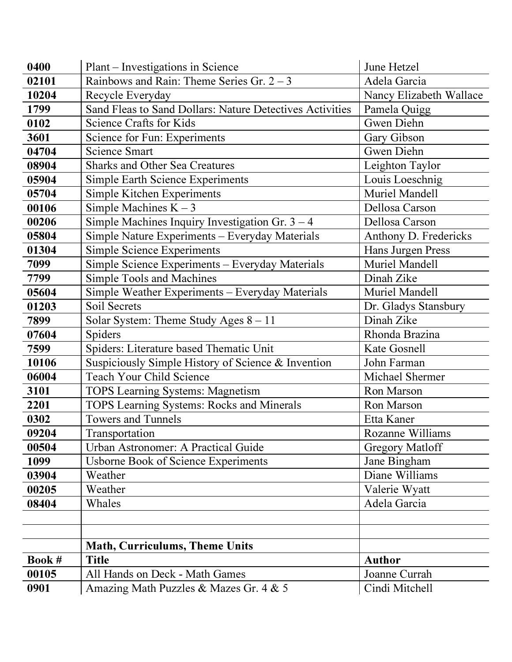| 0400   | Plant – Investigations in Science                        | June Hetzel             |
|--------|----------------------------------------------------------|-------------------------|
| 02101  | Rainbows and Rain: Theme Series Gr. $2 - 3$              | Adela Garcia            |
| 10204  | Recycle Everyday                                         | Nancy Elizabeth Wallace |
| 1799   | Sand Fleas to Sand Dollars: Nature Detectives Activities | Pamela Quigg            |
| 0102   | Science Crafts for Kids                                  | Gwen Diehn              |
| 3601   | Science for Fun: Experiments                             | Gary Gibson             |
| 04704  | <b>Science Smart</b>                                     | Gwen Diehn              |
| 08904  | <b>Sharks and Other Sea Creatures</b>                    | Leighton Taylor         |
| 05904  | <b>Simple Earth Science Experiments</b>                  | Louis Loeschnig         |
| 05704  | Simple Kitchen Experiments                               | Muriel Mandell          |
| 00106  | Simple Machines $K - 3$                                  | Dellosa Carson          |
| 00206  | Simple Machines Inquiry Investigation Gr. $3 - 4$        | Dellosa Carson          |
| 05804  | Simple Nature Experiments - Everyday Materials           | Anthony D. Fredericks   |
| 01304  | <b>Simple Science Experiments</b>                        | Hans Jurgen Press       |
| 7099   | Simple Science Experiments - Everyday Materials          | Muriel Mandell          |
| 7799   | Simple Tools and Machines                                | Dinah Zike              |
| 05604  | Simple Weather Experiments - Everyday Materials          | Muriel Mandell          |
| 01203  | Soil Secrets                                             | Dr. Gladys Stansbury    |
| 7899   | Solar System: Theme Study Ages $8 - 11$                  | Dinah Zike              |
| 07604  | Spiders                                                  | Rhonda Brazina          |
| 7599   | Spiders: Literature based Thematic Unit                  | Kate Gosnell            |
| 10106  | Suspiciously Simple History of Science & Invention       | John Farman             |
| 06004  | <b>Teach Your Child Science</b>                          | Michael Shermer         |
| 3101   | <b>TOPS Learning Systems: Magnetism</b>                  | Ron Marson              |
| 2201   | <b>TOPS Learning Systems: Rocks and Minerals</b>         | Ron Marson              |
| 0302   | <b>Towers and Tunnels</b>                                | Etta Kaner              |
| 09204  | Transportation                                           | Rozanne Williams        |
| 00504  | Urban Astronomer: A Practical Guide                      | <b>Gregory Matloff</b>  |
| 1099   | <b>Usborne Book of Science Experiments</b>               | Jane Bingham            |
| 03904  | Weather                                                  | Diane Williams          |
| 00205  | Weather                                                  | Valerie Wyatt           |
| 08404  | Whales                                                   | Adela Garcia            |
|        |                                                          |                         |
|        |                                                          |                         |
|        | <b>Math, Curriculums, Theme Units</b>                    |                         |
| Book # | <b>Title</b>                                             | <b>Author</b>           |
| 00105  | All Hands on Deck - Math Games                           | Joanne Currah           |
| 0901   | Amazing Math Puzzles & Mazes Gr. 4 & 5                   | Cindi Mitchell          |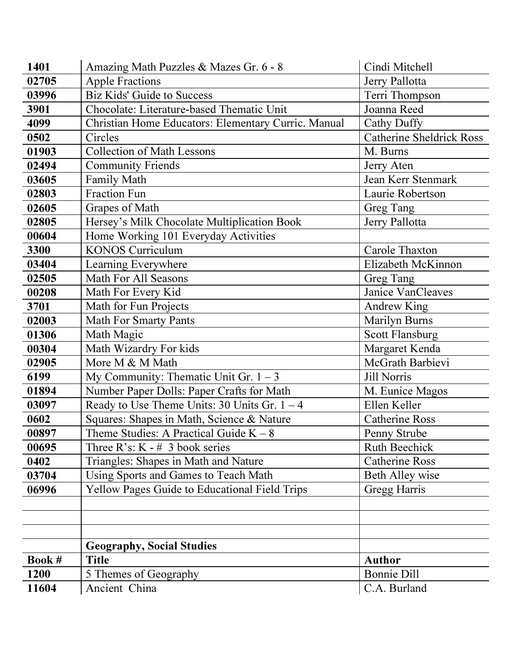| 1401   | Amazing Math Puzzles & Mazes Gr. 6 - 8              | Cindi Mitchell           |
|--------|-----------------------------------------------------|--------------------------|
| 02705  | <b>Apple Fractions</b>                              | Jerry Pallotta           |
| 03996  | <b>Biz Kids' Guide to Success</b>                   | Terri Thompson           |
| 3901   | Chocolate: Literature-based Thematic Unit           | Joanna Reed              |
| 4099   | Christian Home Educators: Elementary Curric. Manual | <b>Cathy Duffy</b>       |
| 0502   | Circles                                             | Catherine Sheldrick Ross |
| 01903  | <b>Collection of Math Lessons</b>                   | M. Burns                 |
| 02494  | <b>Community Friends</b>                            | Jerry Aten               |
| 03605  | Family Math                                         | Jean Kerr Stenmark       |
| 02803  | <b>Fraction Fun</b>                                 | Laurie Robertson         |
| 02605  | Grapes of Math                                      | Greg Tang                |
| 02805  | Hersey's Milk Chocolate Multiplication Book         | Jerry Pallotta           |
| 00604  | Home Working 101 Everyday Activities                |                          |
| 3300   | <b>KONOS Curriculum</b>                             | Carole Thaxton           |
| 03404  | Learning Everywhere                                 | Elizabeth McKinnon       |
| 02505  | <b>Math For All Seasons</b>                         | Greg Tang                |
| 00208  | Math For Every Kid                                  | Janice VanCleaves        |
| 3701   | Math for Fun Projects                               | Andrew King              |
| 02003  | <b>Math For Smarty Pants</b>                        | Marilyn Burns            |
| 01306  | Math Magic                                          | <b>Scott Flansburg</b>   |
| 00304  | Math Wizardry For kids                              | Margaret Kenda           |
| 02905  | More M & M Math                                     | McGrath Barbievi         |
| 6199   | My Community: Thematic Unit Gr. $1 - 3$             | <b>Jill Norris</b>       |
| 01894  | Number Paper Dolls: Paper Crafts for Math           | M. Eunice Magos          |
| 03097  | Ready to Use Theme Units: 30 Units Gr. $1 - 4$      | Ellen Keller             |
| 0602   | Squares: Shapes in Math, Science & Nature           | <b>Catherine Ross</b>    |
| 00897  | Theme Studies: A Practical Guide $K - 8$            | Penny Strube             |
| 00695  | Three R's: $K - # 3$ book series                    | <b>Ruth Beechick</b>     |
| 0402   | Triangles: Shapes in Math and Nature                | <b>Catherine Ross</b>    |
| 03704  | Using Sports and Games to Teach Math                | Beth Alley wise          |
| 06996  | Yellow Pages Guide to Educational Field Trips       | Gregg Harris             |
|        |                                                     |                          |
|        |                                                     |                          |
|        |                                                     |                          |
|        | <b>Geography, Social Studies</b>                    |                          |
| Book # | <b>Title</b>                                        | <b>Author</b>            |
| 1200   | 5 Themes of Geography                               | <b>Bonnie Dill</b>       |
| 11604  | Ancient China                                       | C.A. Burland             |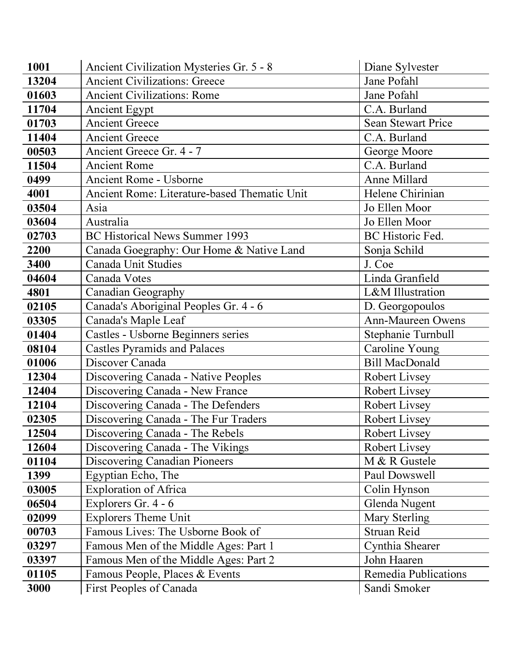| 1001  | Ancient Civilization Mysteries Gr. 5 - 8     | Diane Sylvester       |
|-------|----------------------------------------------|-----------------------|
| 13204 | <b>Ancient Civilizations: Greece</b>         | Jane Pofahl           |
| 01603 | <b>Ancient Civilizations: Rome</b>           | Jane Pofahl           |
| 11704 | <b>Ancient Egypt</b>                         | C.A. Burland          |
| 01703 | <b>Ancient Greece</b>                        | Sean Stewart Price    |
| 11404 | <b>Ancient Greece</b>                        | C.A. Burland          |
| 00503 | Ancient Greece Gr. 4 - 7                     | George Moore          |
| 11504 | <b>Ancient Rome</b>                          | C.A. Burland          |
| 0499  | <b>Ancient Rome - Usborne</b>                | Anne Millard          |
| 4001  | Ancient Rome: Literature-based Thematic Unit | Helene Chirinian      |
| 03504 | Asia                                         | Jo Ellen Moor         |
| 03604 | Australia                                    | Jo Ellen Moor         |
| 02703 | <b>BC Historical News Summer 1993</b>        | BC Historic Fed.      |
| 2200  | Canada Goegraphy: Our Home & Native Land     | Sonja Schild          |
| 3400  | Canada Unit Studies                          | J. Coe                |
| 04604 | Canada Votes                                 | Linda Granfield       |
| 4801  | Canadian Geography                           | L&M Illustration      |
| 02105 | Canada's Aboriginal Peoples Gr. 4 - 6        | D. Georgopoulos       |
| 03305 | Canada's Maple Leaf                          | Ann-Maureen Owens     |
| 01404 | Castles - Usborne Beginners series           | Stephanie Turnbull    |
| 08104 | <b>Castles Pyramids and Palaces</b>          | Caroline Young        |
| 01006 | Discover Canada                              | <b>Bill MacDonald</b> |
| 12304 | Discovering Canada - Native Peoples          | Robert Livsey         |
| 12404 | Discovering Canada - New France              | <b>Robert Livsey</b>  |
| 12104 | Discovering Canada - The Defenders           | <b>Robert Livsey</b>  |
| 02305 | Discovering Canada - The Fur Traders         | Robert Livsey         |
| 12504 | Discovering Canada - The Rebels              | <b>Robert Livsey</b>  |
| 12604 | Discovering Canada - The Vikings             | Robert Livsey         |
| 01104 | <b>Discovering Canadian Pioneers</b>         | M & R Gustele         |
| 1399  | Egyptian Echo, The                           | Paul Dowswell         |
| 03005 | <b>Exploration of Africa</b>                 | Colin Hynson          |
| 06504 | Explorers Gr. 4 - 6                          | Glenda Nugent         |
| 02099 | <b>Explorers Theme Unit</b>                  | Mary Sterling         |
| 00703 | Famous Lives: The Usborne Book of            | Struan Reid           |
| 03297 | Famous Men of the Middle Ages: Part 1        | Cynthia Shearer       |
| 03397 | Famous Men of the Middle Ages: Part 2        | John Haaren           |
| 01105 | Famous People, Places & Events               | Remedia Publications  |
| 3000  | First Peoples of Canada                      | Sandi Smoker          |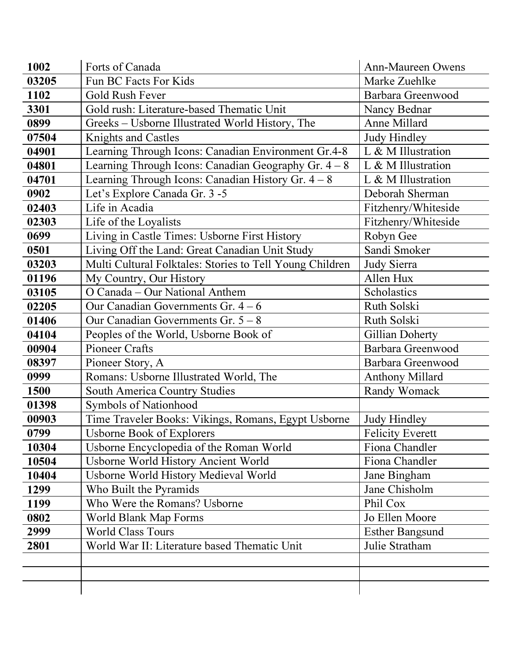| 1002  | Forts of Canada                                          | <b>Ann-Maureen Owens</b> |
|-------|----------------------------------------------------------|--------------------------|
| 03205 | Fun BC Facts For Kids                                    | Marke Zuehlke            |
| 1102  | <b>Gold Rush Fever</b>                                   | Barbara Greenwood        |
| 3301  | Gold rush: Literature-based Thematic Unit                | Nancy Bednar             |
| 0899  | Greeks - Usborne Illustrated World History, The          | Anne Millard             |
| 07504 | <b>Knights and Castles</b>                               | Judy Hindley             |
| 04901 | Learning Through Icons: Canadian Environment Gr.4-8      | L & M Illustration       |
| 04801 | Learning Through Icons: Canadian Geography Gr. $4 - 8$   | L & M Illustration       |
| 04701 | Learning Through Icons: Canadian History Gr. $4 - 8$     | L & M Illustration       |
| 0902  | Let's Explore Canada Gr. 3 -5                            | Deborah Sherman          |
| 02403 | Life in Acadia                                           | Fitzhenry/Whiteside      |
| 02303 | Life of the Loyalists                                    | Fitzhenry/Whiteside      |
| 0699  | Living in Castle Times: Usborne First History            | Robyn Gee                |
| 0501  | Living Off the Land: Great Canadian Unit Study           | Sandi Smoker             |
| 03203 | Multi Cultural Folktales: Stories to Tell Young Children | Judy Sierra              |
| 01196 | My Country, Our History                                  | Allen Hux                |
| 03105 | O Canada - Our National Anthem                           | Scholastics              |
| 02205 | Our Canadian Governments Gr. $4-6$                       | Ruth Solski              |
| 01406 | Our Canadian Governments Gr. $5 - 8$                     | Ruth Solski              |
| 04104 | Peoples of the World, Usborne Book of                    | Gillian Doherty          |
| 00904 | <b>Pioneer Crafts</b>                                    | Barbara Greenwood        |
| 08397 | Pioneer Story, A                                         | Barbara Greenwood        |
| 0999  | Romans: Usborne Illustrated World, The                   | <b>Anthony Millard</b>   |
| 1500  | <b>South America Country Studies</b>                     | Randy Womack             |
| 01398 | Symbols of Nationhood                                    |                          |
| 00903 | Time Traveler Books: Vikings, Romans, Egypt Usborne      | <b>Judy Hindley</b>      |
| 0799  | <b>Usborne Book of Explorers</b>                         | <b>Felicity Everett</b>  |
| 10304 | Usborne Encyclopedia of the Roman World                  | Fiona Chandler           |
| 10504 | Usborne World History Ancient World                      | Fiona Chandler           |
| 10404 | Usborne World History Medieval World                     | Jane Bingham             |
| 1299  | Who Built the Pyramids                                   | Jane Chisholm            |
| 1199  | Who Were the Romans? Usborne                             | Phil Cox                 |
| 0802  | World Blank Map Forms                                    | Jo Ellen Moore           |
| 2999  | <b>World Class Tours</b>                                 | <b>Esther Bangsund</b>   |
| 2801  | World War II: Literature based Thematic Unit             | Julie Stratham           |
|       |                                                          |                          |
|       |                                                          |                          |
|       |                                                          |                          |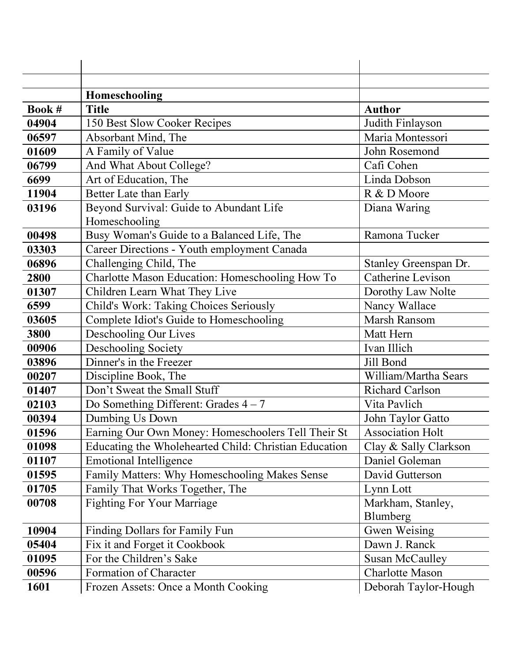|        | Homeschooling                                            |                               |
|--------|----------------------------------------------------------|-------------------------------|
| Book # | <b>Title</b>                                             | <b>Author</b>                 |
| 04904  | 150 Best Slow Cooker Recipes                             | Judith Finlayson              |
| 06597  | Absorbant Mind, The                                      | Maria Montessori              |
| 01609  | A Family of Value                                        | John Rosemond                 |
| 06799  | And What About College?                                  | Cafi Cohen                    |
| 6699   | Art of Education, The                                    | Linda Dobson                  |
| 11904  | Better Late than Early                                   | R & D Moore                   |
| 03196  | Beyond Survival: Guide to Abundant Life<br>Homeschooling | Diana Waring                  |
| 00498  | Busy Woman's Guide to a Balanced Life, The               | Ramona Tucker                 |
| 03303  | Career Directions - Youth employment Canada              |                               |
| 06896  | Challenging Child, The                                   | Stanley Greenspan Dr.         |
| 2800   | Charlotte Mason Education: Homeschooling How To          | Catherine Levison             |
| 01307  | Children Learn What They Live                            | Dorothy Law Nolte             |
| 6599   | Child's Work: Taking Choices Seriously                   | Nancy Wallace                 |
| 03605  | Complete Idiot's Guide to Homeschooling                  | Marsh Ransom                  |
| 3800   | Deschooling Our Lives                                    | Matt Hern                     |
| 00906  | Deschooling Society                                      | Ivan Illich                   |
| 03896  | Dinner's in the Freezer                                  | Jill Bond                     |
| 00207  | Discipline Book, The                                     | William/Martha Sears          |
| 01407  | Don't Sweat the Small Stuff                              | <b>Richard Carlson</b>        |
| 02103  | Do Something Different: Grades $4-7$                     | Vita Pavlich                  |
| 00394  | Dumbing Us Down                                          | John Taylor Gatto             |
| 01596  | Earning Our Own Money: Homeschoolers Tell Their St       | <b>Association Holt</b>       |
| 01098  | Educating the Wholehearted Child: Christian Education    | Clay & Sally Clarkson         |
| 01107  | <b>Emotional Intelligence</b>                            | Daniel Goleman                |
| 01595  | Family Matters: Why Homeschooling Makes Sense            | David Gutterson               |
| 01705  | Family That Works Together, The                          | Lynn Lott                     |
| 00708  | <b>Fighting For Your Marriage</b>                        | Markham, Stanley,<br>Blumberg |
| 10904  | Finding Dollars for Family Fun                           | Gwen Weising                  |
| 05404  | Fix it and Forget it Cookbook                            | Dawn J. Ranck                 |
| 01095  | For the Children's Sake                                  | <b>Susan McCaulley</b>        |
| 00596  | Formation of Character                                   | <b>Charlotte Mason</b>        |
|        |                                                          |                               |
| 1601   | Frozen Assets: Once a Month Cooking                      | Deborah Taylor-Hough          |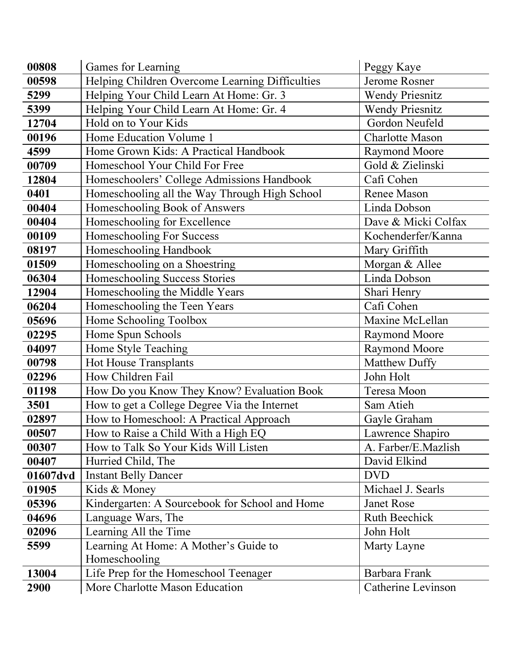| 00808    | Games for Learning                              | Peggy Kaye             |
|----------|-------------------------------------------------|------------------------|
| 00598    | Helping Children Overcome Learning Difficulties | Jerome Rosner          |
| 5299     | Helping Your Child Learn At Home: Gr. 3         | <b>Wendy Priesnitz</b> |
| 5399     | Helping Your Child Learn At Home: Gr. 4         | <b>Wendy Priesnitz</b> |
| 12704    | Hold on to Your Kids                            | Gordon Neufeld         |
| 00196    | Home Education Volume 1                         | <b>Charlotte Mason</b> |
| 4599     | Home Grown Kids: A Practical Handbook           | <b>Raymond Moore</b>   |
| 00709    | Homeschool Your Child For Free                  | Gold & Zielinski       |
| 12804    | Homeschoolers' College Admissions Handbook      | Cafi Cohen             |
| 0401     | Homeschooling all the Way Through High School   | Renee Mason            |
| 00404    | Homeschooling Book of Answers                   | Linda Dobson           |
| 00404    | Homeschooling for Excellence                    | Dave & Micki Colfax    |
| 00109    | Homeschooling For Success                       | Kochenderfer/Kanna     |
| 08197    | Homeschooling Handbook                          | Mary Griffith          |
| 01509    | Homeschooling on a Shoestring                   | Morgan & Allee         |
| 06304    | Homeschooling Success Stories                   | Linda Dobson           |
| 12904    | Homeschooling the Middle Years                  | Shari Henry            |
| 06204    | Homeschooling the Teen Years                    | Cafi Cohen             |
| 05696    | Home Schooling Toolbox                          | Maxine McLellan        |
| 02295    | Home Spun Schools                               | <b>Raymond Moore</b>   |
| 04097    | Home Style Teaching                             | <b>Raymond Moore</b>   |
| 00798    | <b>Hot House Transplants</b>                    | Matthew Duffy          |
| 02296    | How Children Fail                               | John Holt              |
| 01198    | How Do you Know They Know? Evaluation Book      | Teresa Moon            |
| 3501     | How to get a College Degree Via the Internet    | Sam Atieh              |
| 02897    | How to Homeschool: A Practical Approach         | Gayle Graham           |
| 00507    | How to Raise a Child With a High EQ             | Lawrence Shapiro       |
| 00307    | How to Talk So Your Kids Will Listen            | A. Farber/E.Mazlish    |
| 00407    | Hurried Child, The                              | David Elkind           |
| 01607dvd | <b>Instant Belly Dancer</b>                     | <b>DVD</b>             |
| 01905    | Kids & Money                                    | Michael J. Searls      |
| 05396    | Kindergarten: A Sourcebook for School and Home  | <b>Janet Rose</b>      |
| 04696    | Language Wars, The                              | <b>Ruth Beechick</b>   |
| 02096    | Learning All the Time                           | John Holt              |
| 5599     | Learning At Home: A Mother's Guide to           | Marty Layne            |
|          | Homeschooling                                   |                        |
| 13004    | Life Prep for the Homeschool Teenager           | Barbara Frank          |
| 2900     | More Charlotte Mason Education                  | Catherine Levinson     |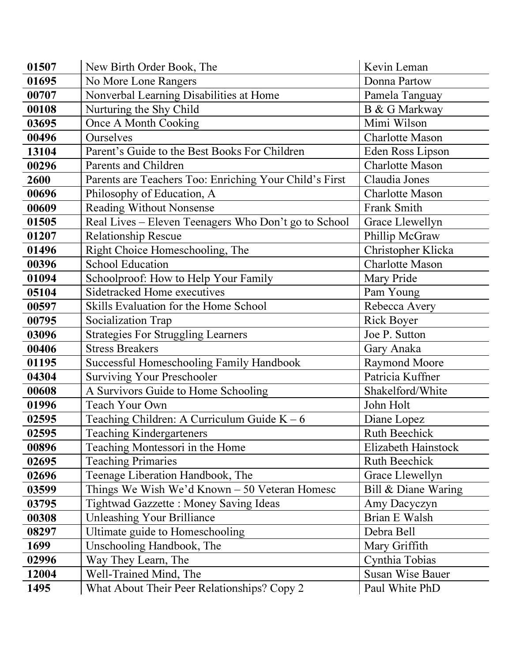| 01507 | New Birth Order Book, The                              | Kevin Leman             |
|-------|--------------------------------------------------------|-------------------------|
| 01695 | No More Lone Rangers                                   | Donna Partow            |
| 00707 | Nonverbal Learning Disabilities at Home                | Pamela Tanguay          |
| 00108 | Nurturing the Shy Child                                | <b>B</b> & G Markway    |
| 03695 | Once A Month Cooking                                   | Mimi Wilson             |
| 00496 | Ourselves                                              | <b>Charlotte Mason</b>  |
| 13104 | Parent's Guide to the Best Books For Children          | Eden Ross Lipson        |
| 00296 | Parents and Children                                   | <b>Charlotte Mason</b>  |
| 2600  | Parents are Teachers Too: Enriching Your Child's First | Claudia Jones           |
| 00696 | Philosophy of Education, A                             | <b>Charlotte Mason</b>  |
| 00609 | <b>Reading Without Nonsense</b>                        | Frank Smith             |
| 01505 | Real Lives - Eleven Teenagers Who Don't go to School   | Grace Llewellyn         |
| 01207 | <b>Relationship Rescue</b>                             | Phillip McGraw          |
| 01496 | Right Choice Homeschooling, The                        | Christopher Klicka      |
| 00396 | <b>School Education</b>                                | <b>Charlotte Mason</b>  |
| 01094 | Schoolproof: How to Help Your Family                   | Mary Pride              |
| 05104 | Sidetracked Home executives                            | Pam Young               |
| 00597 | Skills Evaluation for the Home School                  | Rebecca Avery           |
| 00795 | Socialization Trap                                     | <b>Rick Boyer</b>       |
| 03096 | <b>Strategies For Struggling Learners</b>              | Joe P. Sutton           |
| 00406 | <b>Stress Breakers</b>                                 | Gary Anaka              |
| 01195 | <b>Successful Homeschooling Family Handbook</b>        | <b>Raymond Moore</b>    |
| 04304 | <b>Surviving Your Preschooler</b>                      | Patricia Kuffner        |
| 00608 | A Survivors Guide to Home Schooling                    | Shakelford/White        |
| 01996 | Teach Your Own                                         | John Holt               |
| 02595 | Teaching Children: A Curriculum Guide $K - 6$          | Diane Lopez             |
| 02595 | Teaching Kindergarteners                               | <b>Ruth Beechick</b>    |
| 00896 | Teaching Montessori in the Home                        | Elizabeth Hainstock     |
| 02695 | <b>Teaching Primaries</b>                              | <b>Ruth Beechick</b>    |
| 02696 | Teenage Liberation Handbook, The                       | Grace Llewellyn         |
| 03599 | Things We Wish We'd Known - 50 Veteran Homesc          | Bill & Diane Waring     |
| 03795 | <b>Tightwad Gazzette: Money Saving Ideas</b>           | Amy Dacyczyn            |
| 00308 | <b>Unleashing Your Brilliance</b>                      | Brian E Walsh           |
| 08297 | Ultimate guide to Homeschooling                        | Debra Bell              |
| 1699  | Unschooling Handbook, The                              | Mary Griffith           |
| 02996 | Way They Learn, The                                    | Cynthia Tobias          |
| 12004 | Well-Trained Mind, The                                 | <b>Susan Wise Bauer</b> |
| 1495  | What About Their Peer Relationships? Copy 2            | Paul White PhD          |